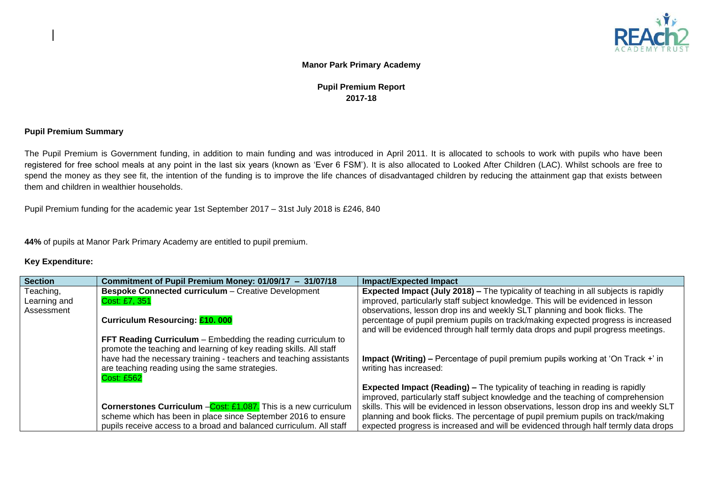

## **Manor Park Primary Academy**

## **Pupil Premium Report 2017-18**

## **Pupil Premium Summary**

The Pupil Premium is Government funding, in addition to main funding and was introduced in April 2011. It is allocated to schools to work with pupils who have been registered for free school meals at any point in the last six years (known as 'Ever 6 FSM'). It is also allocated to Looked After Children (LAC). Whilst schools are free to spend the money as they see fit, the intention of the funding is to improve the life chances of disadvantaged children by reducing the attainment gap that exists between them and children in wealthier households.

Pupil Premium funding for the academic year 1st September 2017 – 31st July 2018 is £246, 840

**44%** of pupils at Manor Park Primary Academy are entitled to pupil premium.

## **Key Expenditure:**

| <b>Section</b> | Commitment of Pupil Premium Money: 01/09/17 - 31/07/18                                                                             | <b>Impact/Expected Impact</b>                                                         |
|----------------|------------------------------------------------------------------------------------------------------------------------------------|---------------------------------------------------------------------------------------|
| Teaching,      | <b>Bespoke Connected curriculum - Creative Development</b>                                                                         | Expected Impact (July 2018) - The typicality of teaching in all subjects is rapidly   |
| Learning and   | Cost: £7, 351                                                                                                                      | improved, particularly staff subject knowledge. This will be evidenced in lesson      |
| Assessment     |                                                                                                                                    | observations, lesson drop ins and weekly SLT planning and book flicks. The            |
|                | Curriculum Resourcing: £10.000                                                                                                     | percentage of pupil premium pupils on track/making expected progress is increased     |
|                |                                                                                                                                    | and will be evidenced through half termly data drops and pupil progress meetings.     |
|                | FFT Reading Curriculum – Embedding the reading curriculum to<br>promote the teaching and learning of key reading skills. All staff |                                                                                       |
|                | have had the necessary training - teachers and teaching assistants                                                                 | Impact (Writing) – Percentage of pupil premium pupils working at 'On Track +' in      |
|                | are teaching reading using the same strategies.                                                                                    | writing has increased:                                                                |
|                | <b>Cost: £562</b>                                                                                                                  |                                                                                       |
|                |                                                                                                                                    | <b>Expected Impact (Reading) – The typicality of teaching in reading is rapidly</b>   |
|                |                                                                                                                                    | improved, particularly staff subject knowledge and the teaching of comprehension      |
|                | <b>Cornerstones Curriculum</b> - Cost: £1,087. This is a new curriculum                                                            | skills. This will be evidenced in lesson observations, lesson drop ins and weekly SLT |
|                | scheme which has been in place since September 2016 to ensure                                                                      | planning and book flicks. The percentage of pupil premium pupils on track/making      |
|                | pupils receive access to a broad and balanced curriculum. All staff                                                                | expected progress is increased and will be evidenced through half termly data drops   |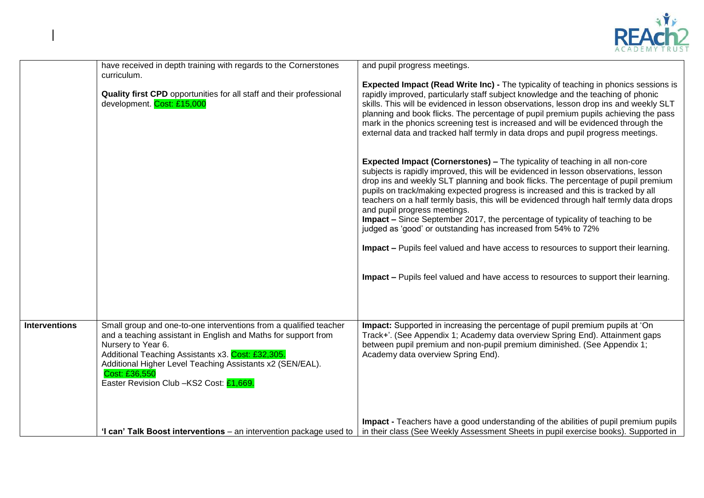

|                      | have received in depth training with regards to the Cornerstones<br>curriculum.<br>Quality first CPD opportunities for all staff and their professional<br>development. Cost: £15,000                                                                                                                                                   | and pupil progress meetings.<br><b>Expected Impact (Read Write Inc) - The typicality of teaching in phonics sessions is</b><br>rapidly improved, particularly staff subject knowledge and the teaching of phonic<br>skills. This will be evidenced in lesson observations, lesson drop ins and weekly SLT<br>planning and book flicks. The percentage of pupil premium pupils achieving the pass<br>mark in the phonics screening test is increased and will be evidenced through the<br>external data and tracked half termly in data drops and pupil progress meetings.<br><b>Expected Impact (Cornerstones) – The typicality of teaching in all non-core</b><br>subjects is rapidly improved, this will be evidenced in lesson observations, lesson<br>drop ins and weekly SLT planning and book flicks. The percentage of pupil premium<br>pupils on track/making expected progress is increased and this is tracked by all<br>teachers on a half termly basis, this will be evidenced through half termly data drops<br>and pupil progress meetings.<br>Impact - Since September 2017, the percentage of typicality of teaching to be<br>judged as 'good' or outstanding has increased from 54% to 72%<br><b>Impact –</b> Pupils feel valued and have access to resources to support their learning.<br>Impact - Pupils feel valued and have access to resources to support their learning. |
|----------------------|-----------------------------------------------------------------------------------------------------------------------------------------------------------------------------------------------------------------------------------------------------------------------------------------------------------------------------------------|--------------------------------------------------------------------------------------------------------------------------------------------------------------------------------------------------------------------------------------------------------------------------------------------------------------------------------------------------------------------------------------------------------------------------------------------------------------------------------------------------------------------------------------------------------------------------------------------------------------------------------------------------------------------------------------------------------------------------------------------------------------------------------------------------------------------------------------------------------------------------------------------------------------------------------------------------------------------------------------------------------------------------------------------------------------------------------------------------------------------------------------------------------------------------------------------------------------------------------------------------------------------------------------------------------------------------------------------------------------------------------------------------|
| <b>Interventions</b> | Small group and one-to-one interventions from a qualified teacher<br>and a teaching assistant in English and Maths for support from<br>Nursery to Year 6.<br>Additional Teaching Assistants x3. Cost: £32,305.<br>Additional Higher Level Teaching Assistants x2 (SEN/EAL).<br>Cost: £36,550<br>Easter Revision Club -KS2 Cost: £1,669. | Impact: Supported in increasing the percentage of pupil premium pupils at 'On<br>Track+'. (See Appendix 1; Academy data overview Spring End). Attainment gaps<br>between pupil premium and non-pupil premium diminished. (See Appendix 1;<br>Academy data overview Spring End).                                                                                                                                                                                                                                                                                                                                                                                                                                                                                                                                                                                                                                                                                                                                                                                                                                                                                                                                                                                                                                                                                                                  |
|                      | 'I can' Talk Boost interventions – an intervention package used to                                                                                                                                                                                                                                                                      | Impact - Teachers have a good understanding of the abilities of pupil premium pupils<br>in their class (See Weekly Assessment Sheets in pupil exercise books). Supported in                                                                                                                                                                                                                                                                                                                                                                                                                                                                                                                                                                                                                                                                                                                                                                                                                                                                                                                                                                                                                                                                                                                                                                                                                      |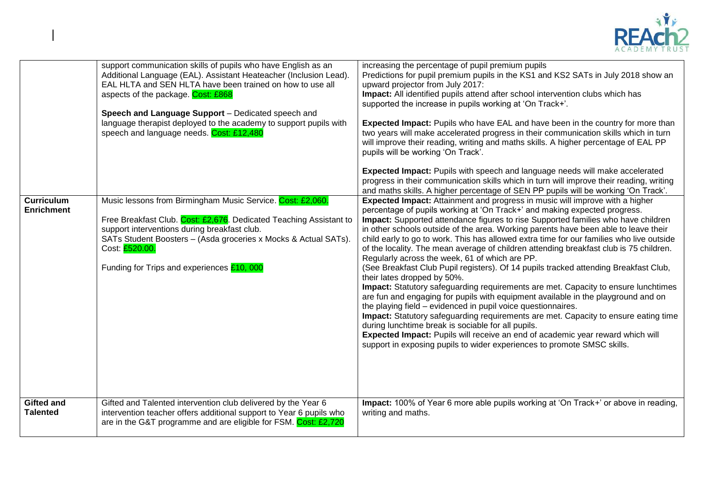

|                                        | support communication skills of pupils who have English as an<br>Additional Language (EAL). Assistant Heateacher (Inclusion Lead).<br>EAL HLTA and SEN HLTA have been trained on how to use all<br>aspects of the package. Cost: £868<br>Speech and Language Support - Dedicated speech and<br>language therapist deployed to the academy to support pupils with<br>speech and language needs. Cost: £12,480 | increasing the percentage of pupil premium pupils<br>Predictions for pupil premium pupils in the KS1 and KS2 SATs in July 2018 show an<br>upward projector from July 2017:<br>Impact: All identified pupils attend after school intervention clubs which has<br>supported the increase in pupils working at 'On Track+'.<br>Expected Impact: Pupils who have EAL and have been in the country for more than<br>two years will make accelerated progress in their communication skills which in turn<br>will improve their reading, writing and maths skills. A higher percentage of EAL PP<br>pupils will be working 'On Track'.<br><b>Expected Impact:</b> Pupils with speech and language needs will make accelerated<br>progress in their communication skills which in turn will improve their reading, writing<br>and maths skills. A higher percentage of SEN PP pupils will be working 'On Track'.                                                                                                                                                                                                                                                                                                                                                        |
|----------------------------------------|--------------------------------------------------------------------------------------------------------------------------------------------------------------------------------------------------------------------------------------------------------------------------------------------------------------------------------------------------------------------------------------------------------------|------------------------------------------------------------------------------------------------------------------------------------------------------------------------------------------------------------------------------------------------------------------------------------------------------------------------------------------------------------------------------------------------------------------------------------------------------------------------------------------------------------------------------------------------------------------------------------------------------------------------------------------------------------------------------------------------------------------------------------------------------------------------------------------------------------------------------------------------------------------------------------------------------------------------------------------------------------------------------------------------------------------------------------------------------------------------------------------------------------------------------------------------------------------------------------------------------------------------------------------------------------------|
| <b>Curriculum</b><br><b>Enrichment</b> | Music lessons from Birmingham Music Service. Cost: £2,060.<br>Free Breakfast Club. Cost: £2,676. Dedicated Teaching Assistant to<br>support interventions during breakfast club.<br>SATs Student Boosters - (Asda groceries x Mocks & Actual SATs).<br>Cost: £520.00.<br>Funding for Trips and experiences £10, 000                                                                                          | Expected Impact: Attainment and progress in music will improve with a higher<br>percentage of pupils working at 'On Track+' and making expected progress.<br>Impact: Supported attendance figures to rise Supported families who have children<br>in other schools outside of the area. Working parents have been able to leave their<br>child early to go to work. This has allowed extra time for our families who live outside<br>of the locality. The mean average of children attending breakfast club is 75 children.<br>Regularly across the week, 61 of which are PP.<br>(See Breakfast Club Pupil registers). Of 14 pupils tracked attending Breakfast Club,<br>their lates dropped by 50%.<br><b>Impact:</b> Statutory safeguarding requirements are met. Capacity to ensure lunchtimes<br>are fun and engaging for pupils with equipment available in the playground and on<br>the playing field – evidenced in pupil voice questionnaires.<br>Impact: Statutory safeguarding requirements are met. Capacity to ensure eating time<br>during lunchtime break is sociable for all pupils.<br>Expected Impact: Pupils will receive an end of academic year reward which will<br>support in exposing pupils to wider experiences to promote SMSC skills. |
| <b>Gifted and</b><br><b>Talented</b>   | Gifted and Talented intervention club delivered by the Year 6<br>intervention teacher offers additional support to Year 6 pupils who<br>are in the G&T programme and are eligible for FSM. Cost: £2,720                                                                                                                                                                                                      | Impact: 100% of Year 6 more able pupils working at 'On Track+' or above in reading,<br>writing and maths.                                                                                                                                                                                                                                                                                                                                                                                                                                                                                                                                                                                                                                                                                                                                                                                                                                                                                                                                                                                                                                                                                                                                                        |